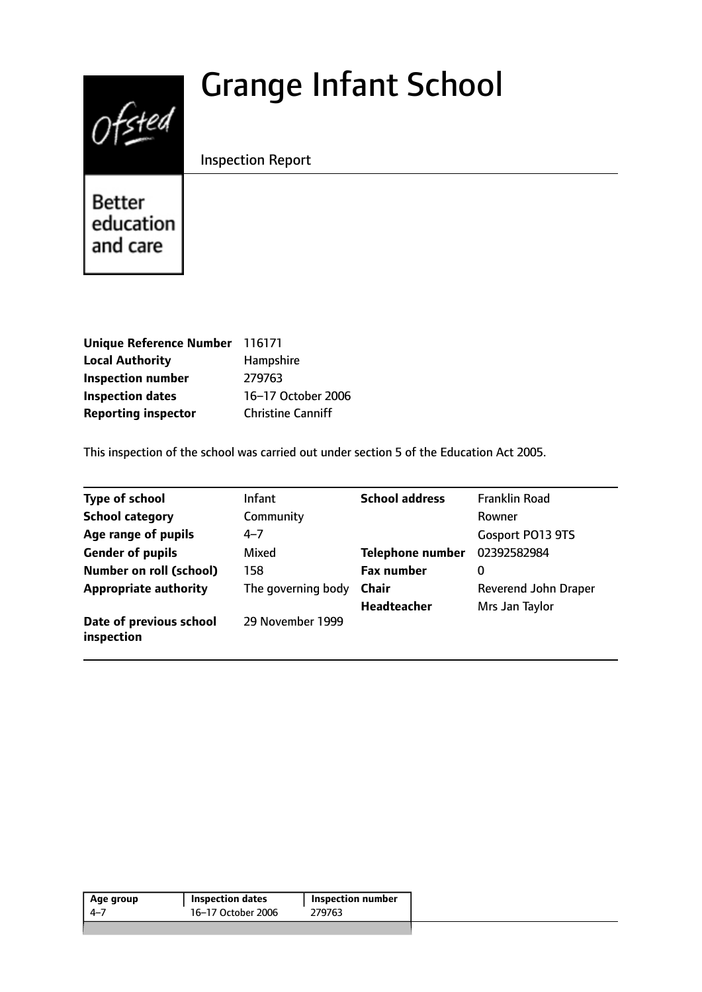# Grange Infant School



Inspection Report

Better education and care

| <b>Unique Reference Number</b> | 116171                   |
|--------------------------------|--------------------------|
| <b>Local Authority</b>         | Hampshire                |
| <b>Inspection number</b>       | 279763                   |
| <b>Inspection dates</b>        | 16-17 October 2006       |
| <b>Reporting inspector</b>     | <b>Christine Canniff</b> |

This inspection of the school was carried out under section 5 of the Education Act 2005.

| <b>Type of school</b>                 | <b>Infant</b>      | <b>School address</b>   | <b>Franklin Road</b> |
|---------------------------------------|--------------------|-------------------------|----------------------|
| <b>School category</b>                | Community          |                         | Rowner               |
| Age range of pupils                   | $4 - 7$            |                         | Gosport PO13 9TS     |
| <b>Gender of pupils</b>               | Mixed              | <b>Telephone number</b> | 02392582984          |
| <b>Number on roll (school)</b>        | 158                | <b>Fax number</b>       | 0                    |
| <b>Appropriate authority</b>          | The governing body | <b>Chair</b>            | Reverend John Draper |
|                                       |                    | <b>Headteacher</b>      | Mrs Jan Taylor       |
| Date of previous school<br>inspection | 29 November 1999   |                         |                      |

| 16–17 October 2006<br>279763<br>-4–7 | Age group | <b>Inspection dates</b> | Inspection number |
|--------------------------------------|-----------|-------------------------|-------------------|
|                                      |           |                         |                   |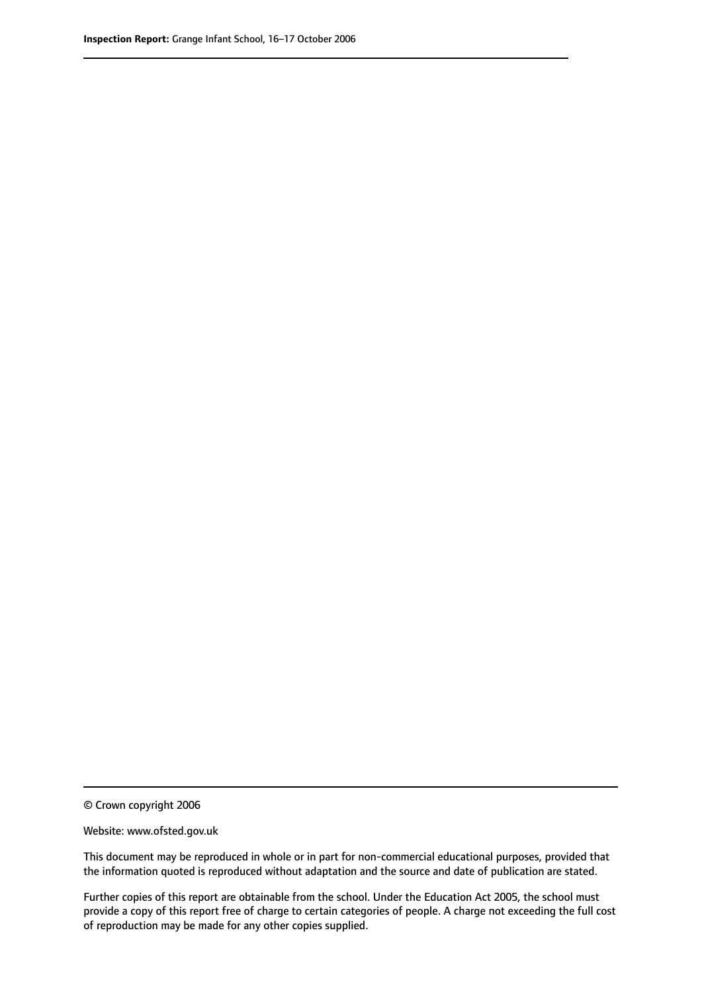© Crown copyright 2006

Website: www.ofsted.gov.uk

This document may be reproduced in whole or in part for non-commercial educational purposes, provided that the information quoted is reproduced without adaptation and the source and date of publication are stated.

Further copies of this report are obtainable from the school. Under the Education Act 2005, the school must provide a copy of this report free of charge to certain categories of people. A charge not exceeding the full cost of reproduction may be made for any other copies supplied.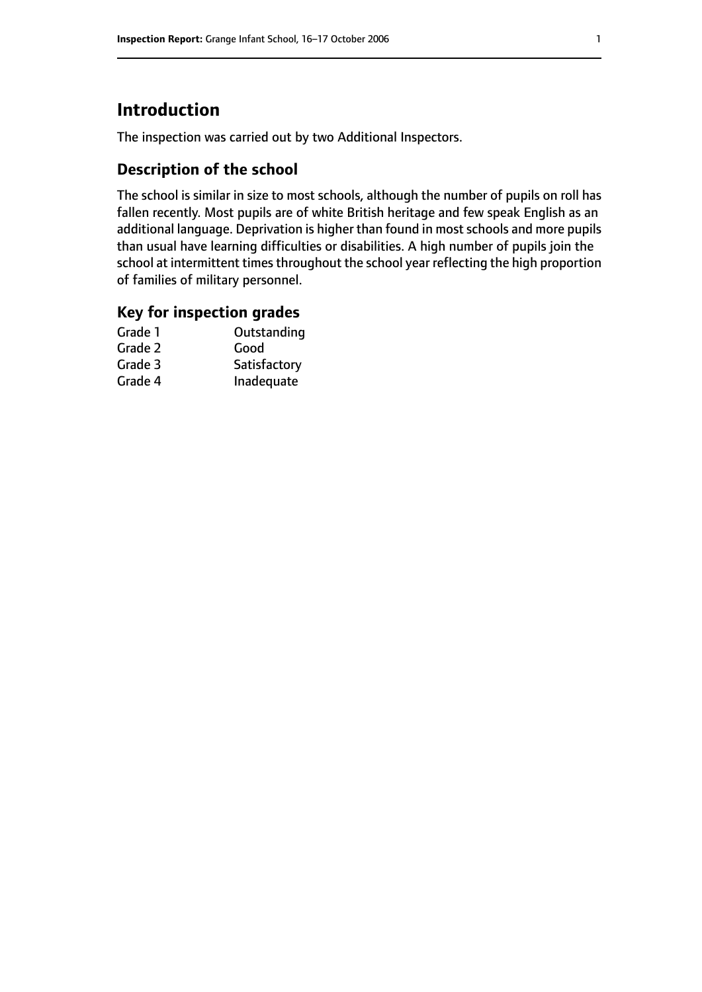# **Introduction**

The inspection was carried out by two Additional Inspectors.

### **Description of the school**

The school is similar in size to most schools, although the number of pupils on roll has fallen recently. Most pupils are of white British heritage and few speak English as an additional language. Deprivation is higher than found in most schools and more pupils than usual have learning difficulties or disabilities. A high number of pupils join the school at intermittent times throughout the school year reflecting the high proportion of families of military personnel.

#### **Key for inspection grades**

| Grade 1 | Outstanding  |
|---------|--------------|
| Grade 2 | Good         |
| Grade 3 | Satisfactory |
| Grade 4 | Inadequate   |
|         |              |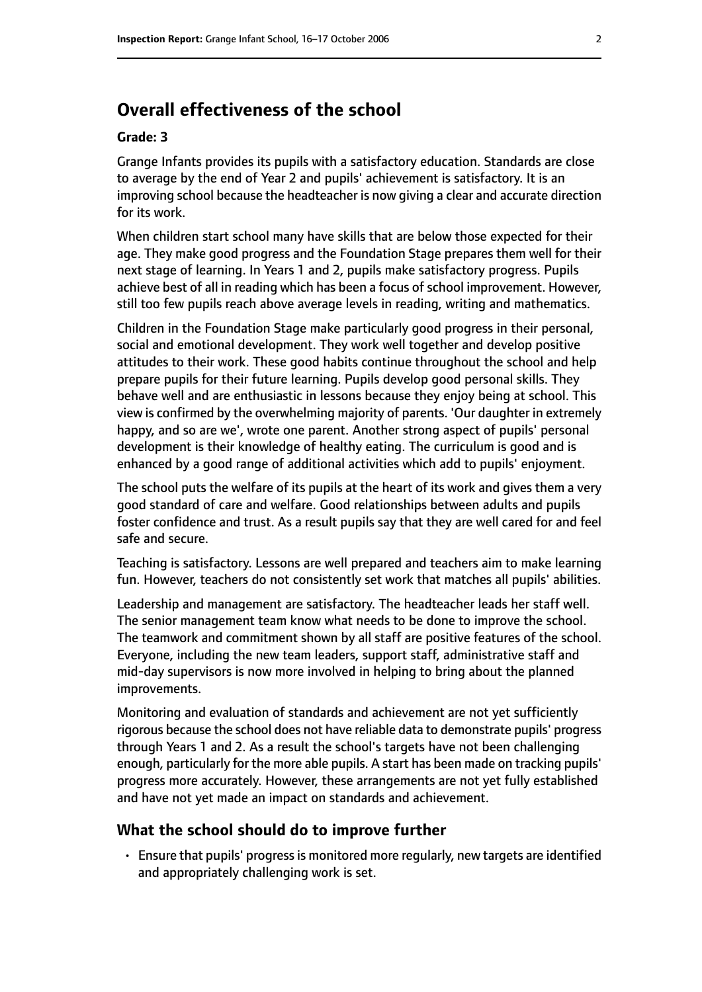# **Overall effectiveness of the school**

#### **Grade: 3**

Grange Infants provides its pupils with a satisfactory education. Standards are close to average by the end of Year 2 and pupils' achievement is satisfactory. It is an improving school because the headteacher is now giving a clear and accurate direction for its work.

When children start school many have skills that are below those expected for their age. They make good progress and the Foundation Stage prepares them well for their next stage of learning. In Years 1 and 2, pupils make satisfactory progress. Pupils achieve best of all in reading which has been a focus of school improvement. However, still too few pupils reach above average levels in reading, writing and mathematics.

Children in the Foundation Stage make particularly good progress in their personal, social and emotional development. They work well together and develop positive attitudes to their work. These good habits continue throughout the school and help prepare pupils for their future learning. Pupils develop good personal skills. They behave well and are enthusiastic in lessons because they enjoy being at school. This view is confirmed by the overwhelming majority of parents. 'Our daughter in extremely happy, and so are we', wrote one parent. Another strong aspect of pupils' personal development is their knowledge of healthy eating. The curriculum is good and is enhanced by a good range of additional activities which add to pupils' enjoyment.

The school puts the welfare of its pupils at the heart of its work and gives them a very good standard of care and welfare. Good relationships between adults and pupils foster confidence and trust. As a result pupils say that they are well cared for and feel safe and secure.

Teaching is satisfactory. Lessons are well prepared and teachers aim to make learning fun. However, teachers do not consistently set work that matches all pupils' abilities.

Leadership and management are satisfactory. The headteacher leads her staff well. The senior management team know what needs to be done to improve the school. The teamwork and commitment shown by all staff are positive features of the school. Everyone, including the new team leaders, support staff, administrative staff and mid-day supervisors is now more involved in helping to bring about the planned improvements.

Monitoring and evaluation of standards and achievement are not yet sufficiently rigorous because the school does not have reliable data to demonstrate pupils' progress through Years 1 and 2. As a result the school's targets have not been challenging enough, particularly for the more able pupils. A start has been made on tracking pupils' progress more accurately. However, these arrangements are not yet fully established and have not yet made an impact on standards and achievement.

#### **What the school should do to improve further**

• Ensure that pupils' progress is monitored more regularly, new targets are identified and appropriately challenging work is set.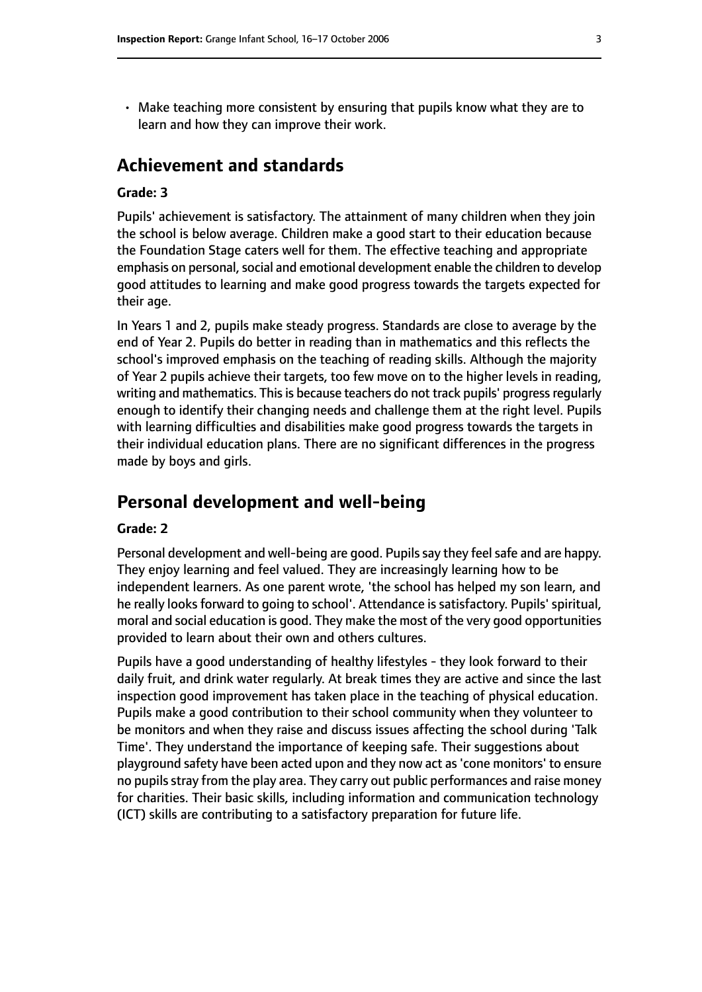• Make teaching more consistent by ensuring that pupils know what they are to learn and how they can improve their work.

## **Achievement and standards**

#### **Grade: 3**

Pupils' achievement is satisfactory. The attainment of many children when they join the school is below average. Children make a good start to their education because the Foundation Stage caters well for them. The effective teaching and appropriate emphasis on personal, social and emotional development enable the children to develop good attitudes to learning and make good progress towards the targets expected for their age.

In Years 1 and 2, pupils make steady progress. Standards are close to average by the end of Year 2. Pupils do better in reading than in mathematics and this reflects the school's improved emphasis on the teaching of reading skills. Although the majority of Year 2 pupils achieve their targets, too few move on to the higher levels in reading, writing and mathematics. This is because teachers do not track pupils' progress regularly enough to identify their changing needs and challenge them at the right level. Pupils with learning difficulties and disabilities make good progress towards the targets in their individual education plans. There are no significant differences in the progress made by boys and girls.

## **Personal development and well-being**

#### **Grade: 2**

Personal development and well-being are good. Pupils say they feel safe and are happy. They enjoy learning and feel valued. They are increasingly learning how to be independent learners. As one parent wrote, 'the school has helped my son learn, and he really looks forward to going to school'. Attendance is satisfactory. Pupils' spiritual, moral and social education is good. They make the most of the very good opportunities provided to learn about their own and others cultures.

Pupils have a good understanding of healthy lifestyles - they look forward to their daily fruit, and drink water regularly. At break times they are active and since the last inspection good improvement has taken place in the teaching of physical education. Pupils make a good contribution to their school community when they volunteer to be monitors and when they raise and discuss issues affecting the school during 'Talk Time'. They understand the importance of keeping safe. Their suggestions about playground safety have been acted upon and they now act as'cone monitors' to ensure no pupils stray from the play area. They carry out public performances and raise money for charities. Their basic skills, including information and communication technology (ICT) skills are contributing to a satisfactory preparation for future life.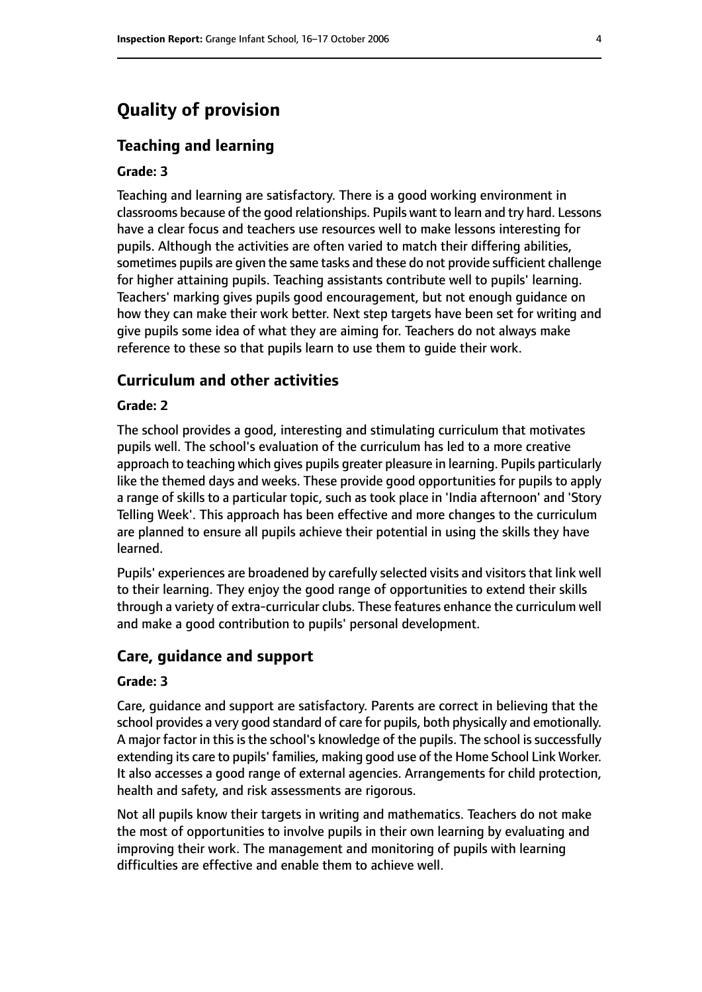# **Quality of provision**

#### **Teaching and learning**

#### **Grade: 3**

Teaching and learning are satisfactory. There is a good working environment in classrooms because of the good relationships. Pupils want to learn and try hard. Lessons have a clear focus and teachers use resources well to make lessons interesting for pupils. Although the activities are often varied to match their differing abilities, sometimes pupils are given the same tasks and these do not provide sufficient challenge for higher attaining pupils. Teaching assistants contribute well to pupils' learning. Teachers' marking gives pupils good encouragement, but not enough guidance on how they can make their work better. Next step targets have been set for writing and give pupils some idea of what they are aiming for. Teachers do not always make reference to these so that pupils learn to use them to guide their work.

#### **Curriculum and other activities**

#### **Grade: 2**

The school provides a good, interesting and stimulating curriculum that motivates pupils well. The school's evaluation of the curriculum has led to a more creative approach to teaching which gives pupils greater pleasure in learning. Pupils particularly like the themed days and weeks. These provide good opportunities for pupils to apply a range of skills to a particular topic, such as took place in 'India afternoon' and 'Story Telling Week'. This approach has been effective and more changes to the curriculum are planned to ensure all pupils achieve their potential in using the skills they have learned.

Pupils' experiences are broadened by carefully selected visits and visitors that link well to their learning. They enjoy the good range of opportunities to extend their skills through a variety of extra-curricular clubs. These features enhance the curriculum well and make a good contribution to pupils' personal development.

#### **Care, guidance and support**

#### **Grade: 3**

Care, guidance and support are satisfactory. Parents are correct in believing that the school provides a very good standard of care for pupils, both physically and emotionally. A major factor in this is the school's knowledge of the pupils. The school is successfully extending its care to pupils' families, making good use of the Home School Link Worker. It also accesses a good range of external agencies. Arrangements for child protection, health and safety, and risk assessments are rigorous.

Not all pupils know their targets in writing and mathematics. Teachers do not make the most of opportunities to involve pupils in their own learning by evaluating and improving their work. The management and monitoring of pupils with learning difficulties are effective and enable them to achieve well.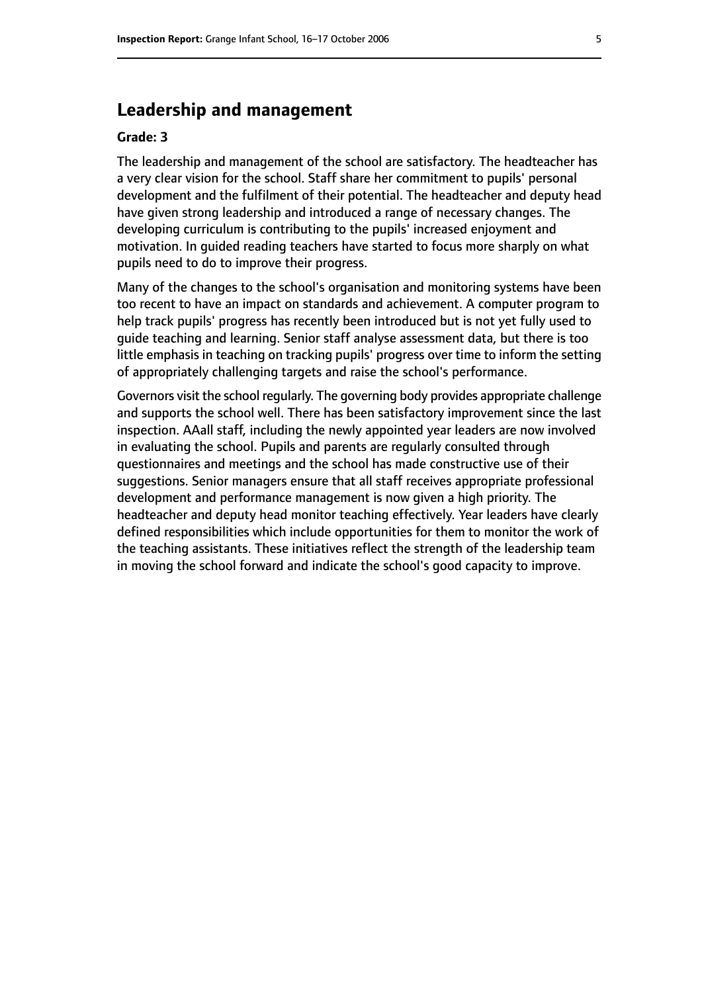# **Leadership and management**

#### **Grade: 3**

The leadership and management of the school are satisfactory. The headteacher has a very clear vision for the school. Staff share her commitment to pupils' personal development and the fulfilment of their potential. The headteacher and deputy head have given strong leadership and introduced a range of necessary changes. The developing curriculum is contributing to the pupils' increased enjoyment and motivation. In guided reading teachers have started to focus more sharply on what pupils need to do to improve their progress.

Many of the changes to the school's organisation and monitoring systems have been too recent to have an impact on standards and achievement. A computer program to help track pupils' progress has recently been introduced but is not yet fully used to guide teaching and learning. Senior staff analyse assessment data, but there is too little emphasis in teaching on tracking pupils' progress over time to inform the setting of appropriately challenging targets and raise the school's performance.

Governors visit the school regularly. The governing body provides appropriate challenge and supports the school well. There has been satisfactory improvement since the last inspection. AAall staff, including the newly appointed year leaders are now involved in evaluating the school. Pupils and parents are regularly consulted through questionnaires and meetings and the school has made constructive use of their suggestions. Senior managers ensure that all staff receives appropriate professional development and performance management is now given a high priority. The headteacher and deputy head monitor teaching effectively. Year leaders have clearly defined responsibilities which include opportunities for them to monitor the work of the teaching assistants. These initiatives reflect the strength of the leadership team in moving the school forward and indicate the school's good capacity to improve.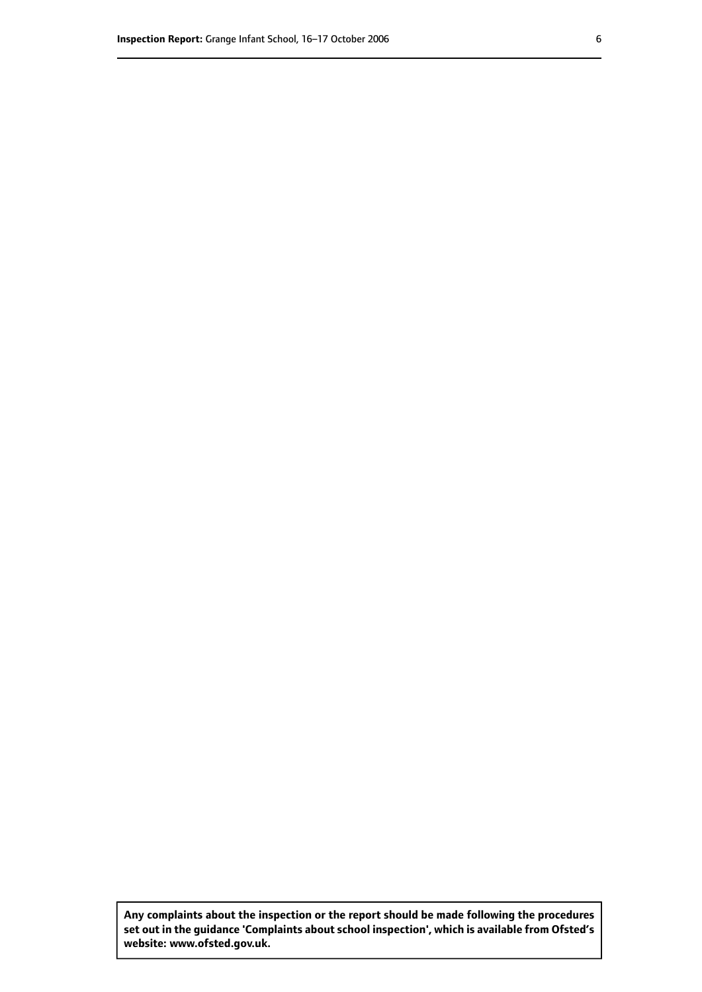**Any complaints about the inspection or the report should be made following the procedures set out inthe guidance 'Complaints about school inspection', whichis available from Ofsted's website: www.ofsted.gov.uk.**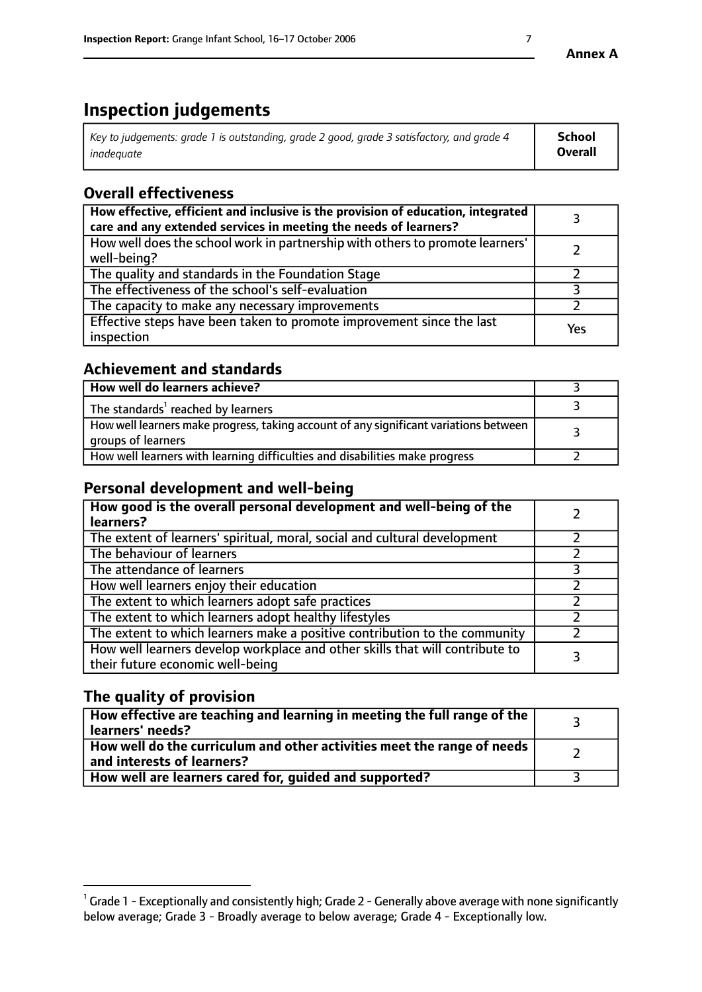# **Inspection judgements**

| Key to judgements: grade 1 is outstanding, grade 2 good, grade 3 satisfactory, and grade 4 | School         |
|--------------------------------------------------------------------------------------------|----------------|
| inadeauate                                                                                 | <b>Overall</b> |

# **Overall effectiveness**

| How effective, efficient and inclusive is the provision of education, integrated<br>care and any extended services in meeting the needs of learners? |     |
|------------------------------------------------------------------------------------------------------------------------------------------------------|-----|
| How well does the school work in partnership with others to promote learners'<br>well-being?                                                         |     |
| The quality and standards in the Foundation Stage                                                                                                    |     |
| The effectiveness of the school's self-evaluation                                                                                                    |     |
| The capacity to make any necessary improvements                                                                                                      |     |
| Effective steps have been taken to promote improvement since the last<br>inspection                                                                  | Yes |

## **Achievement and standards**

| How well do learners achieve?                                                                               |  |
|-------------------------------------------------------------------------------------------------------------|--|
| The standards <sup>1</sup> reached by learners                                                              |  |
| How well learners make progress, taking account of any significant variations between<br>groups of learners |  |
| How well learners with learning difficulties and disabilities make progress                                 |  |

## **Personal development and well-being**

| How good is the overall personal development and well-being of the<br>learners?                                  |  |
|------------------------------------------------------------------------------------------------------------------|--|
| The extent of learners' spiritual, moral, social and cultural development                                        |  |
| The behaviour of learners                                                                                        |  |
| The attendance of learners                                                                                       |  |
| How well learners enjoy their education                                                                          |  |
| The extent to which learners adopt safe practices                                                                |  |
| The extent to which learners adopt healthy lifestyles                                                            |  |
| The extent to which learners make a positive contribution to the community                                       |  |
| How well learners develop workplace and other skills that will contribute to<br>their future economic well-being |  |

## **The quality of provision**

| $\Box$ How effective are teaching and learning in meeting the full range of the $\Box$<br>  learners' needs?        |  |
|---------------------------------------------------------------------------------------------------------------------|--|
| $\mid$ How well do the curriculum and other activities meet the range of needs<br>$\mid$ and interests of learners? |  |
| How well are learners cared for, guided and supported?                                                              |  |

 $^1$  Grade 1 - Exceptionally and consistently high; Grade 2 - Generally above average with none significantly below average; Grade 3 - Broadly average to below average; Grade 4 - Exceptionally low.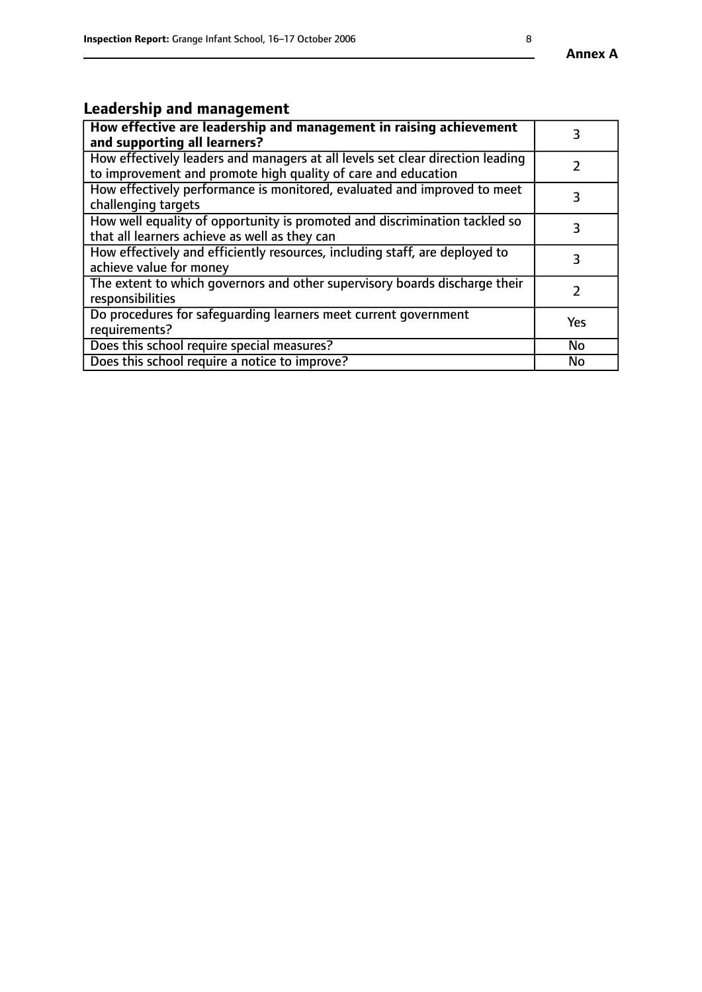# **Leadership and management**

| How effective are leadership and management in raising achievement<br>and supporting all learners?                                              | 3         |
|-------------------------------------------------------------------------------------------------------------------------------------------------|-----------|
| How effectively leaders and managers at all levels set clear direction leading<br>to improvement and promote high quality of care and education |           |
| How effectively performance is monitored, evaluated and improved to meet<br>challenging targets                                                 | 3         |
| How well equality of opportunity is promoted and discrimination tackled so<br>that all learners achieve as well as they can                     | 3         |
| How effectively and efficiently resources, including staff, are deployed to<br>achieve value for money                                          | 3         |
| The extent to which governors and other supervisory boards discharge their<br>responsibilities                                                  |           |
| Do procedures for safeguarding learners meet current government<br>requirements?                                                                | Yes       |
| Does this school require special measures?                                                                                                      | <b>No</b> |
| Does this school require a notice to improve?                                                                                                   | <b>No</b> |